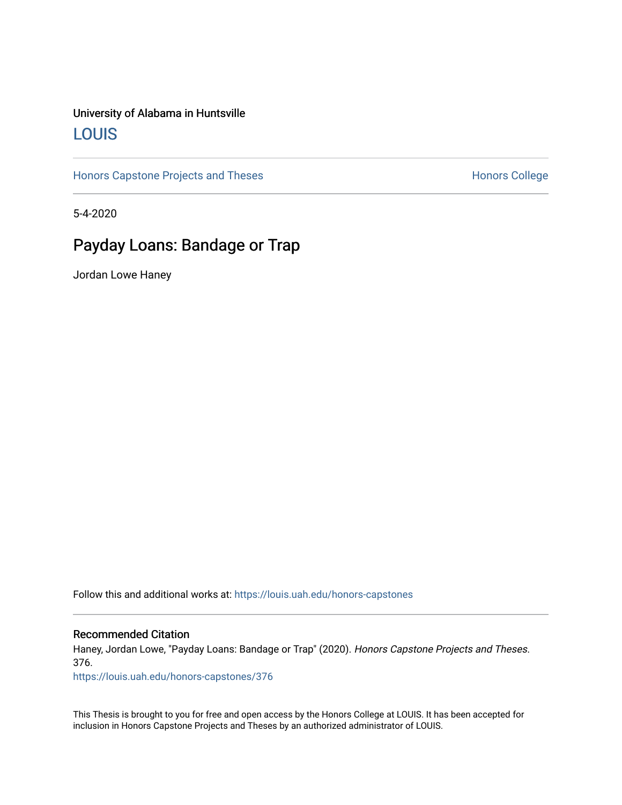## University of Alabama in Huntsville [LOUIS](https://louis.uah.edu/)

[Honors Capstone Projects and Theses](https://louis.uah.edu/honors-capstones) **Honors College** Honors College

5-4-2020

# Payday Loans: Bandage or Trap

Jordan Lowe Haney

Follow this and additional works at: [https://louis.uah.edu/honors-capstones](https://louis.uah.edu/honors-capstones?utm_source=louis.uah.edu%2Fhonors-capstones%2F376&utm_medium=PDF&utm_campaign=PDFCoverPages) 

#### Recommended Citation

Haney, Jordan Lowe, "Payday Loans: Bandage or Trap" (2020). Honors Capstone Projects and Theses. 376.

[https://louis.uah.edu/honors-capstones/376](https://louis.uah.edu/honors-capstones/376?utm_source=louis.uah.edu%2Fhonors-capstones%2F376&utm_medium=PDF&utm_campaign=PDFCoverPages) 

This Thesis is brought to you for free and open access by the Honors College at LOUIS. It has been accepted for inclusion in Honors Capstone Projects and Theses by an authorized administrator of LOUIS.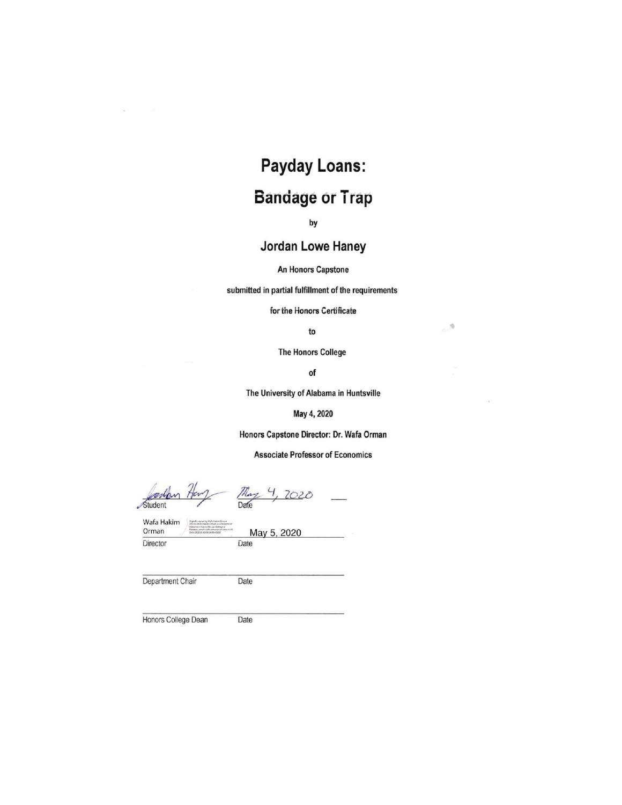# **Payday Loans: Bandage or Trap**

by

## Jordan Lowe Haney

An Honors Capstone

submitted in partial fulfillment of the requirements

for the Honors Certificate

to

 $\mathcal{G}_\mathcal{C}$ 

**The Honors College** 

of

The University of Alabama in Huntsville

May 4, 2020

Honors Capstone Director: Dr. Wafa Orman

**Associate Professor of Economics** 

Student

May 4, 2020

Wafa Hakim Orman Director

May 5, 2020

Department Chair

Date

Date

Honors College Dean

Date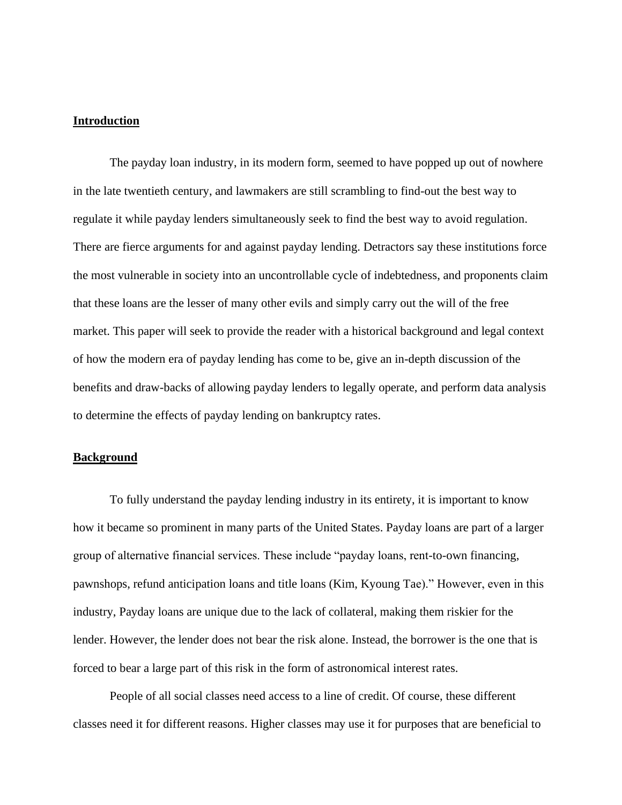#### **Introduction**

The payday loan industry, in its modern form, seemed to have popped up out of nowhere in the late twentieth century, and lawmakers are still scrambling to find-out the best way to regulate it while payday lenders simultaneously seek to find the best way to avoid regulation. There are fierce arguments for and against payday lending. Detractors say these institutions force the most vulnerable in society into an uncontrollable cycle of indebtedness, and proponents claim that these loans are the lesser of many other evils and simply carry out the will of the free market. This paper will seek to provide the reader with a historical background and legal context of how the modern era of payday lending has come to be, give an in-depth discussion of the benefits and draw-backs of allowing payday lenders to legally operate, and perform data analysis to determine the effects of payday lending on bankruptcy rates.

#### **Background**

To fully understand the payday lending industry in its entirety, it is important to know how it became so prominent in many parts of the United States. Payday loans are part of a larger group of alternative financial services. These include "payday loans, rent-to-own financing, pawnshops, refund anticipation loans and title loans (Kim, Kyoung Tae)." However, even in this industry, Payday loans are unique due to the lack of collateral, making them riskier for the lender. However, the lender does not bear the risk alone. Instead, the borrower is the one that is forced to bear a large part of this risk in the form of astronomical interest rates.

People of all social classes need access to a line of credit. Of course, these different classes need it for different reasons. Higher classes may use it for purposes that are beneficial to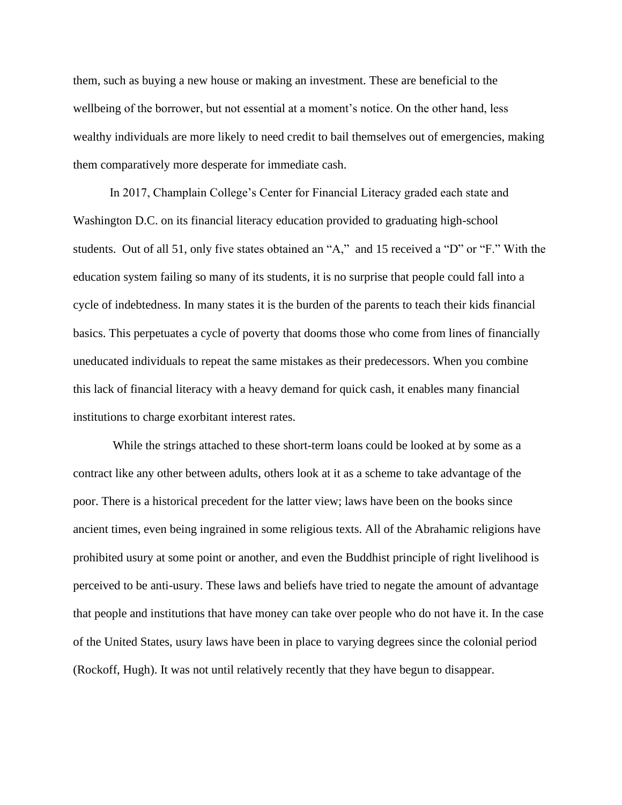them, such as buying a new house or making an investment. These are beneficial to the wellbeing of the borrower, but not essential at a moment's notice. On the other hand, less wealthy individuals are more likely to need credit to bail themselves out of emergencies, making them comparatively more desperate for immediate cash.

In 2017, Champlain College's Center for Financial Literacy graded each state and Washington D.C. on its financial literacy education provided to graduating high-school students. Out of all 51, only five states obtained an "A," and 15 received a "D" or "F." With the education system failing so many of its students, it is no surprise that people could fall into a cycle of indebtedness. In many states it is the burden of the parents to teach their kids financial basics. This perpetuates a cycle of poverty that dooms those who come from lines of financially uneducated individuals to repeat the same mistakes as their predecessors. When you combine this lack of financial literacy with a heavy demand for quick cash, it enables many financial institutions to charge exorbitant interest rates.

While the strings attached to these short-term loans could be looked at by some as a contract like any other between adults, others look at it as a scheme to take advantage of the poor. There is a historical precedent for the latter view; laws have been on the books since ancient times, even being ingrained in some religious texts. All of the Abrahamic religions have prohibited usury at some point or another, and even the Buddhist principle of right livelihood is perceived to be anti-usury. These laws and beliefs have tried to negate the amount of advantage that people and institutions that have money can take over people who do not have it. In the case of the United States, usury laws have been in place to varying degrees since the colonial period (Rockoff, Hugh). It was not until relatively recently that they have begun to disappear.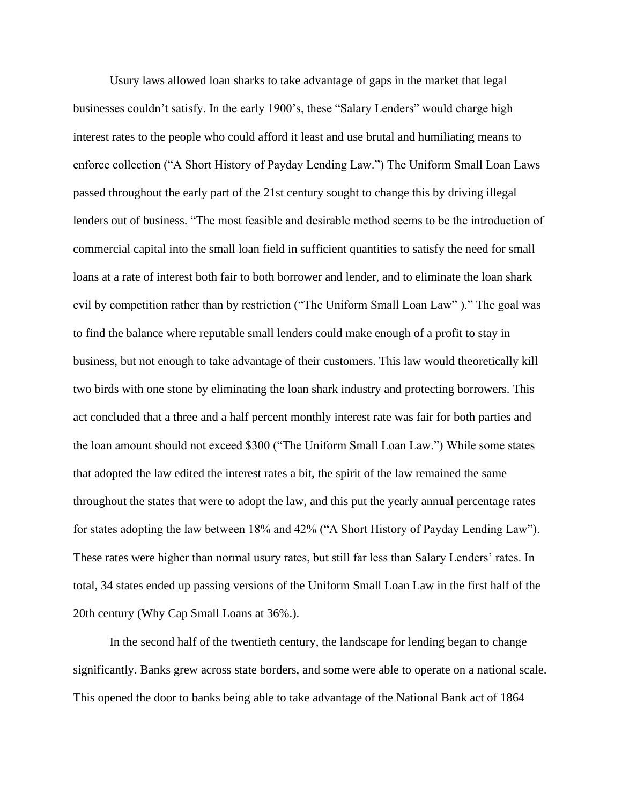Usury laws allowed loan sharks to take advantage of gaps in the market that legal businesses couldn't satisfy. In the early 1900's, these "Salary Lenders" would charge high interest rates to the people who could afford it least and use brutal and humiliating means to enforce collection ("A Short History of Payday Lending Law.") The Uniform Small Loan Laws passed throughout the early part of the 21st century sought to change this by driving illegal lenders out of business. "The most feasible and desirable method seems to be the introduction of commercial capital into the small loan field in sufficient quantities to satisfy the need for small loans at a rate of interest both fair to both borrower and lender, and to eliminate the loan shark evil by competition rather than by restriction ("The Uniform Small Loan Law" )." The goal was to find the balance where reputable small lenders could make enough of a profit to stay in business, but not enough to take advantage of their customers. This law would theoretically kill two birds with one stone by eliminating the loan shark industry and protecting borrowers. This act concluded that a three and a half percent monthly interest rate was fair for both parties and the loan amount should not exceed \$300 ("The Uniform Small Loan Law.") While some states that adopted the law edited the interest rates a bit, the spirit of the law remained the same throughout the states that were to adopt the law, and this put the yearly annual percentage rates for states adopting the law between 18% and 42% ("A Short History of Payday Lending Law"). These rates were higher than normal usury rates, but still far less than Salary Lenders' rates. In total, 34 states ended up passing versions of the Uniform Small Loan Law in the first half of the 20th century (Why Cap Small Loans at 36%.).

In the second half of the twentieth century, the landscape for lending began to change significantly. Banks grew across state borders, and some were able to operate on a national scale. This opened the door to banks being able to take advantage of the National Bank act of 1864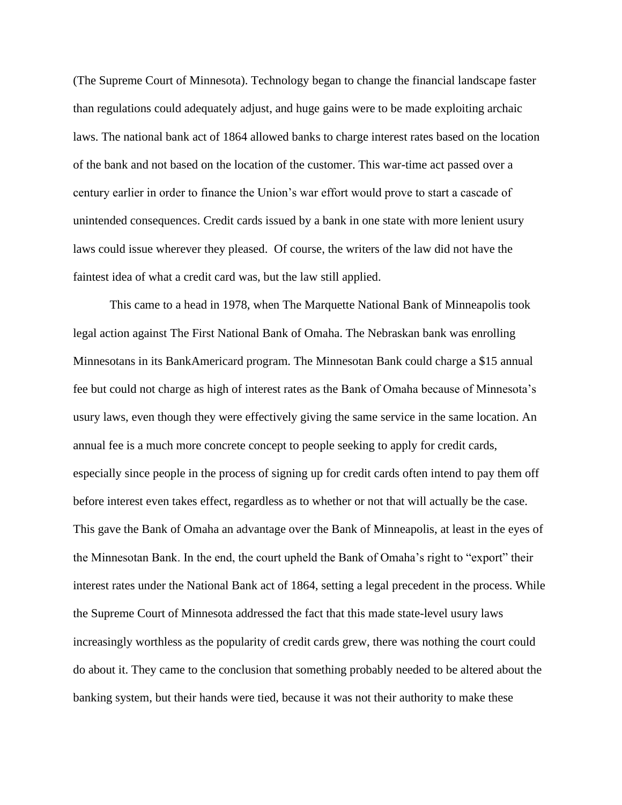(The Supreme Court of Minnesota). Technology began to change the financial landscape faster than regulations could adequately adjust, and huge gains were to be made exploiting archaic laws. The national bank act of 1864 allowed banks to charge interest rates based on the location of the bank and not based on the location of the customer. This war-time act passed over a century earlier in order to finance the Union's war effort would prove to start a cascade of unintended consequences. Credit cards issued by a bank in one state with more lenient usury laws could issue wherever they pleased. Of course, the writers of the law did not have the faintest idea of what a credit card was, but the law still applied.

This came to a head in 1978, when The Marquette National Bank of Minneapolis took legal action against The First National Bank of Omaha. The Nebraskan bank was enrolling Minnesotans in its BankAmericard program. The Minnesotan Bank could charge a \$15 annual fee but could not charge as high of interest rates as the Bank of Omaha because of Minnesota's usury laws, even though they were effectively giving the same service in the same location. An annual fee is a much more concrete concept to people seeking to apply for credit cards, especially since people in the process of signing up for credit cards often intend to pay them off before interest even takes effect, regardless as to whether or not that will actually be the case. This gave the Bank of Omaha an advantage over the Bank of Minneapolis, at least in the eyes of the Minnesotan Bank. In the end, the court upheld the Bank of Omaha's right to "export" their interest rates under the National Bank act of 1864, setting a legal precedent in the process. While the Supreme Court of Minnesota addressed the fact that this made state-level usury laws increasingly worthless as the popularity of credit cards grew, there was nothing the court could do about it. They came to the conclusion that something probably needed to be altered about the banking system, but their hands were tied, because it was not their authority to make these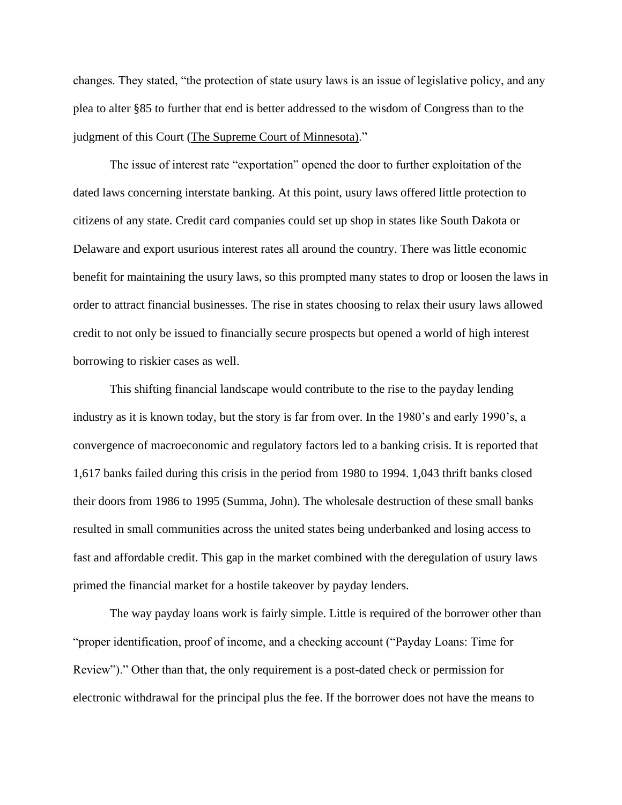changes. They stated, "the protection of state usury laws is an issue of legislative policy, and any plea to alter §85 to further that end is better addressed to the wisdom of Congress than to the judgment of this Court [\(The Supreme Court of Minnesota\).](https://tile.loc.gov/storage-services/service/ll/usrep/usrep439/usrep439299/usrep439299.pdf))"

The issue of interest rate "exportation" opened the door to further exploitation of the dated laws concerning interstate banking. At this point, usury laws offered little protection to citizens of any state. Credit card companies could set up shop in states like South Dakota or Delaware and export usurious interest rates all around the country. There was little economic benefit for maintaining the usury laws, so this prompted many states to drop or loosen the laws in order to attract financial businesses. The rise in states choosing to relax their usury laws allowed credit to not only be issued to financially secure prospects but opened a world of high interest borrowing to riskier cases as well.

This shifting financial landscape would contribute to the rise to the payday lending industry as it is known today, but the story is far from over. In the 1980's and early 1990's, a convergence of macroeconomic and regulatory factors led to a banking crisis. It is reported that 1,617 banks failed during this crisis in the period from 1980 to 1994. 1,043 thrift banks closed their doors from 1986 to 1995 (Summa, John). The wholesale destruction of these small banks resulted in small communities across the united states being underbanked and losing access to fast and affordable credit. This gap in the market combined with the deregulation of usury laws primed the financial market for a hostile takeover by payday lenders.

The way payday loans work is fairly simple. Little is required of the borrower other than "proper identification, proof of income, and a checking account ("Payday Loans: Time for Review")." Other than that, the only requirement is a post-dated check or permission for electronic withdrawal for the principal plus the fee. If the borrower does not have the means to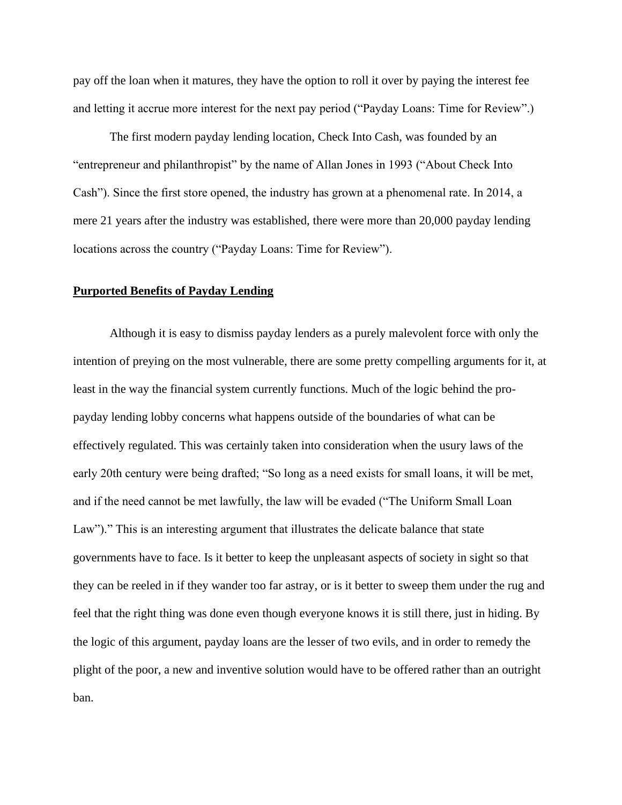pay off the loan when it matures, they have the option to roll it over by paying the interest fee and letting it accrue more interest for the next pay period ("Payday Loans: Time for Review".)

The first modern payday lending location, Check Into Cash, was founded by an "entrepreneur and philanthropist" by the name of Allan Jones in 1993 ("About Check Into Cash"). Since the first store opened, the industry has grown at a phenomenal rate. In 2014, a mere 21 years after the industry was established, there were more than 20,000 payday lending locations across the country ("Payday Loans: Time for Review").

#### **Purported Benefits of Payday Lending**

Although it is easy to dismiss payday lenders as a purely malevolent force with only the intention of preying on the most vulnerable, there are some pretty compelling arguments for it, at least in the way the financial system currently functions. Much of the logic behind the propayday lending lobby concerns what happens outside of the boundaries of what can be effectively regulated. This was certainly taken into consideration when the usury laws of the early 20th century were being drafted; "So long as a need exists for small loans, it will be met, and if the need cannot be met lawfully, the law will be evaded ("The Uniform Small Loan Law")." This is an interesting argument that illustrates the delicate balance that state governments have to face. Is it better to keep the unpleasant aspects of society in sight so that they can be reeled in if they wander too far astray, or is it better to sweep them under the rug and feel that the right thing was done even though everyone knows it is still there, just in hiding. By the logic of this argument, payday loans are the lesser of two evils, and in order to remedy the plight of the poor, a new and inventive solution would have to be offered rather than an outright ban.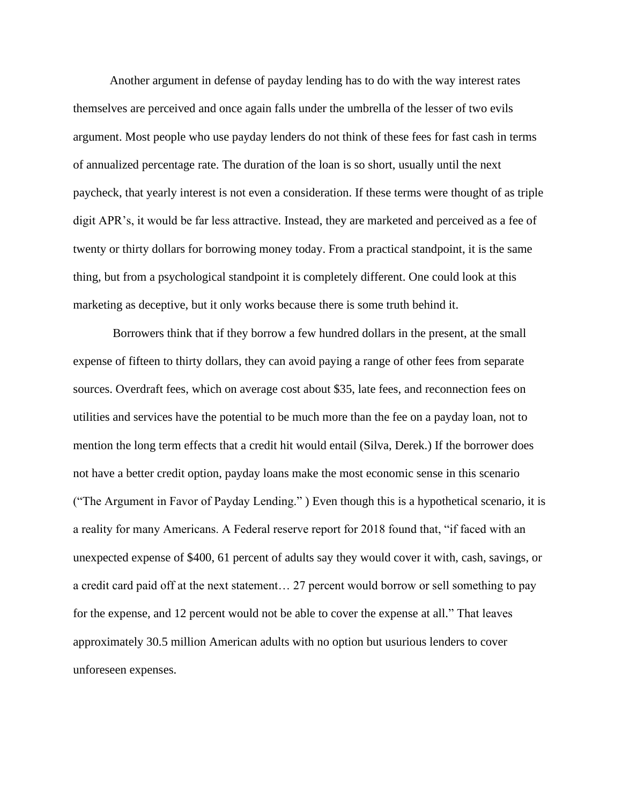Another argument in defense of payday lending has to do with the way interest rates themselves are perceived and once again falls under the umbrella of the lesser of two evils argument. Most people who use payday lenders do not think of these fees for fast cash in terms of annualized percentage rate. The duration of the loan is so short, usually until the next paycheck, that yearly interest is not even a consideration. If these terms were thought of as triple digit APR's, it would be far less attractive. Instead, they are marketed and perceived as a fee of twenty or thirty dollars for borrowing money today. From a practical standpoint, it is the same thing, but from a psychological standpoint it is completely different. One could look at this marketing as deceptive, but it only works because there is some truth behind it.

Borrowers think that if they borrow a few hundred dollars in the present, at the small expense of fifteen to thirty dollars, they can avoid paying a range of other fees from separate sources. Overdraft fees, which on average cost about \$35, late fees, and reconnection fees on utilities and services have the potential to be much more than the fee on a payday loan, not to mention the long term effects that a credit hit would entail (Silva, Derek.) If the borrower does not have a better credit option, payday loans make the most economic sense in this scenario ("The Argument in Favor of Payday Lending." ) Even though this is a hypothetical scenario, it is a reality for many Americans. A Federal reserve report for 2018 found that, "if faced with an unexpected expense of \$400, 61 percent of adults say they would cover it with, cash, savings, or a credit card paid off at the next statement… 27 percent would borrow or sell something to pay for the expense, and 12 percent would not be able to cover the expense at all." That leaves approximately 30.5 million American adults with no option but usurious lenders to cover unforeseen expenses.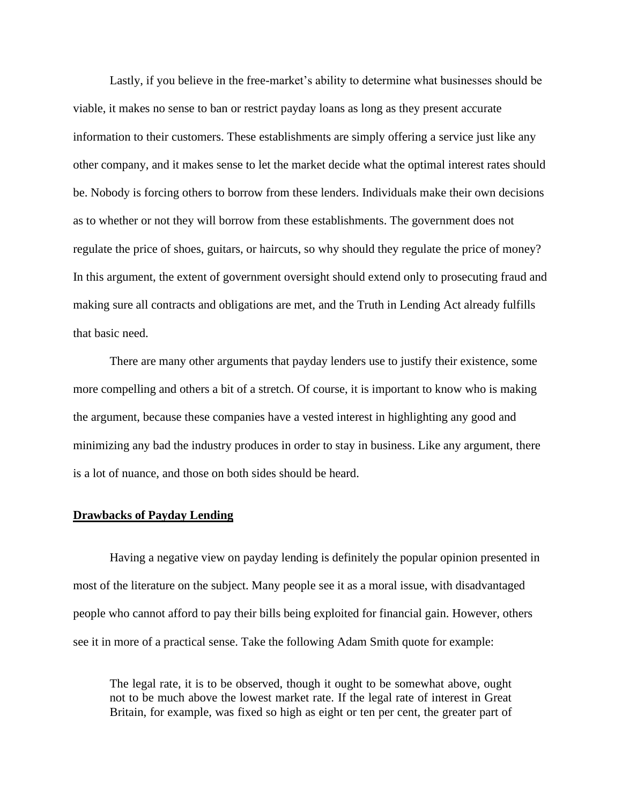Lastly, if you believe in the free-market's ability to determine what businesses should be viable, it makes no sense to ban or restrict payday loans as long as they present accurate information to their customers. These establishments are simply offering a service just like any other company, and it makes sense to let the market decide what the optimal interest rates should be. Nobody is forcing others to borrow from these lenders. Individuals make their own decisions as to whether or not they will borrow from these establishments. The government does not regulate the price of shoes, guitars, or haircuts, so why should they regulate the price of money? In this argument, the extent of government oversight should extend only to prosecuting fraud and making sure all contracts and obligations are met, and the Truth in Lending Act already fulfills that basic need.

There are many other arguments that payday lenders use to justify their existence, some more compelling and others a bit of a stretch. Of course, it is important to know who is making the argument, because these companies have a vested interest in highlighting any good and minimizing any bad the industry produces in order to stay in business. Like any argument, there is a lot of nuance, and those on both sides should be heard.

#### **Drawbacks of Payday Lending**

Having a negative view on payday lending is definitely the popular opinion presented in most of the literature on the subject. Many people see it as a moral issue, with disadvantaged people who cannot afford to pay their bills being exploited for financial gain. However, others see it in more of a practical sense. Take the following Adam Smith quote for example:

The legal rate, it is to be observed, though it ought to be somewhat above, ought not to be much above the lowest market rate. If the legal rate of interest in Great Britain, for example, was fixed so high as eight or ten per cent, the greater part of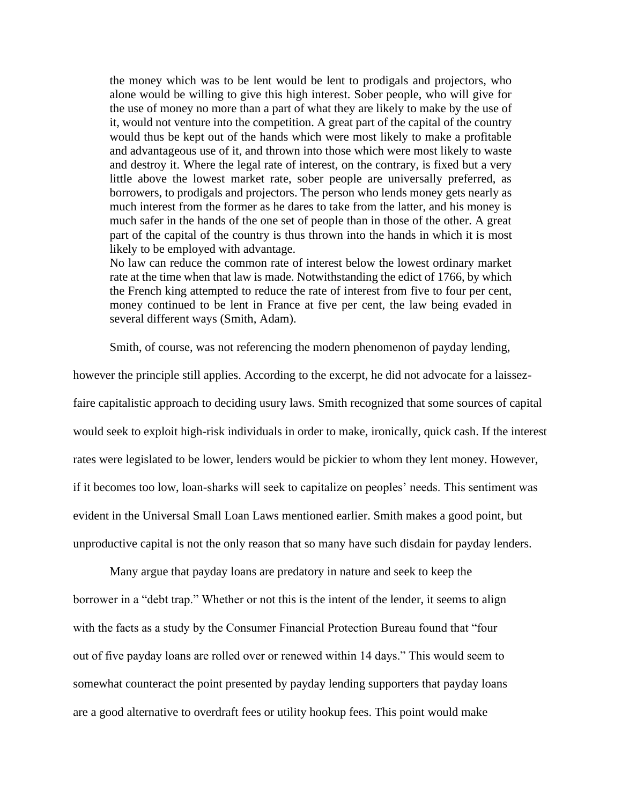the money which was to be lent would be lent to prodigals and projectors, who alone would be willing to give this high interest. Sober people, who will give for the use of money no more than a part of what they are likely to make by the use of it, would not venture into the competition. A great part of the capital of the country would thus be kept out of the hands which were most likely to make a profitable and advantageous use of it, and thrown into those which were most likely to waste and destroy it. Where the legal rate of interest, on the contrary, is fixed but a very little above the lowest market rate, sober people are universally preferred, as borrowers, to prodigals and projectors. The person who lends money gets nearly as much interest from the former as he dares to take from the latter, and his money is much safer in the hands of the one set of people than in those of the other. A great part of the capital of the country is thus thrown into the hands in which it is most likely to be employed with advantage.

No law can reduce the common rate of interest below the lowest ordinary market rate at the time when that law is made. Notwithstanding the edict of 1766, by which the French king attempted to reduce the rate of interest from five to four per cent, money continued to be lent in France at five per cent, the law being evaded in several different ways (Smith, Adam).

Smith, of course, was not referencing the modern phenomenon of payday lending,

however the principle still applies. According to the excerpt, he did not advocate for a laissezfaire capitalistic approach to deciding usury laws. Smith recognized that some sources of capital would seek to exploit high-risk individuals in order to make, ironically, quick cash. If the interest rates were legislated to be lower, lenders would be pickier to whom they lent money. However, if it becomes too low, loan-sharks will seek to capitalize on peoples' needs. This sentiment was evident in the Universal Small Loan Laws mentioned earlier. Smith makes a good point, but unproductive capital is not the only reason that so many have such disdain for payday lenders.

Many argue that payday loans are predatory in nature and seek to keep the borrower in a "debt trap." Whether or not this is the intent of the lender, it seems to align with the facts as a study by the Consumer Financial Protection Bureau found that "four out of five payday loans are rolled over or renewed within 14 days." This would seem to somewhat counteract the point presented by payday lending supporters that payday loans are a good alternative to overdraft fees or utility hookup fees. This point would make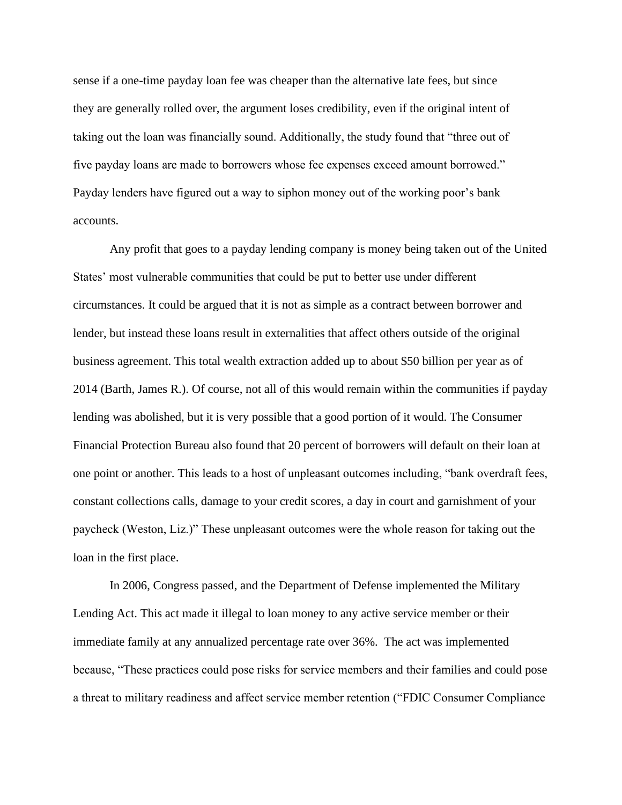sense if a one-time payday loan fee was cheaper than the alternative late fees, but since they are generally rolled over, the argument loses credibility, even if the original intent of taking out the loan was financially sound. Additionally, the study found that "three out of five payday loans are made to borrowers whose fee expenses exceed amount borrowed." Payday lenders have figured out a way to siphon money out of the working poor's bank accounts.

Any profit that goes to a payday lending company is money being taken out of the United States' most vulnerable communities that could be put to better use under different circumstances. It could be argued that it is not as simple as a contract between borrower and lender, but instead these loans result in externalities that affect others outside of the original business agreement. This total wealth extraction added up to about \$50 billion per year as of 2014 (Barth, James R.). Of course, not all of this would remain within the communities if payday lending was abolished, but it is very possible that a good portion of it would. The Consumer Financial Protection Bureau also found that 20 percent of borrowers will default on their loan at one point or another. This leads to a host of unpleasant outcomes including, "bank overdraft fees, constant collections calls, damage to your credit scores, a day in court and garnishment of your paycheck (Weston, Liz.)" These unpleasant outcomes were the whole reason for taking out the loan in the first place.

In 2006, Congress passed, and the Department of Defense implemented the Military Lending Act. This act made it illegal to loan money to any active service member or their immediate family at any annualized percentage rate over 36%. The act was implemented because, "These practices could pose risks for service members and their families and could pose a threat to military readiness and affect service member retention ("FDIC Consumer Compliance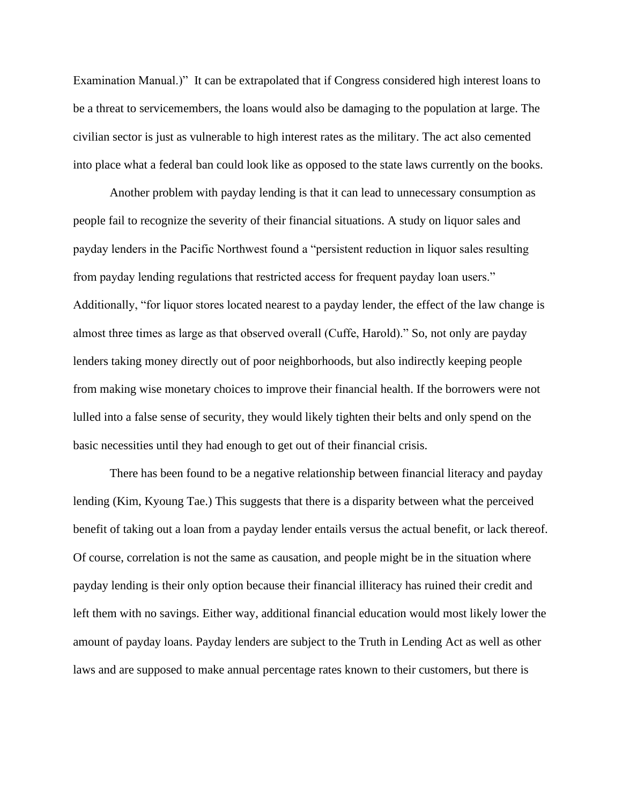Examination Manual.)" It can be extrapolated that if Congress considered high interest loans to be a threat to servicemembers, the loans would also be damaging to the population at large. The civilian sector is just as vulnerable to high interest rates as the military. The act also cemented into place what a federal ban could look like as opposed to the state laws currently on the books.

Another problem with payday lending is that it can lead to unnecessary consumption as people fail to recognize the severity of their financial situations. A study on liquor sales and payday lenders in the Pacific Northwest found a "persistent reduction in liquor sales resulting from payday lending regulations that restricted access for frequent payday loan users." Additionally, "for liquor stores located nearest to a payday lender, the effect of the law change is almost three times as large as that observed overall (Cuffe, Harold)." So, not only are payday lenders taking money directly out of poor neighborhoods, but also indirectly keeping people from making wise monetary choices to improve their financial health. If the borrowers were not lulled into a false sense of security, they would likely tighten their belts and only spend on the basic necessities until they had enough to get out of their financial crisis.

There has been found to be a negative relationship between financial literacy and payday lending (Kim, Kyoung Tae.) This suggests that there is a disparity between what the perceived benefit of taking out a loan from a payday lender entails versus the actual benefit, or lack thereof. Of course, correlation is not the same as causation, and people might be in the situation where payday lending is their only option because their financial illiteracy has ruined their credit and left them with no savings. Either way, additional financial education would most likely lower the amount of payday loans. Payday lenders are subject to the Truth in Lending Act as well as other laws and are supposed to make annual percentage rates known to their customers, but there is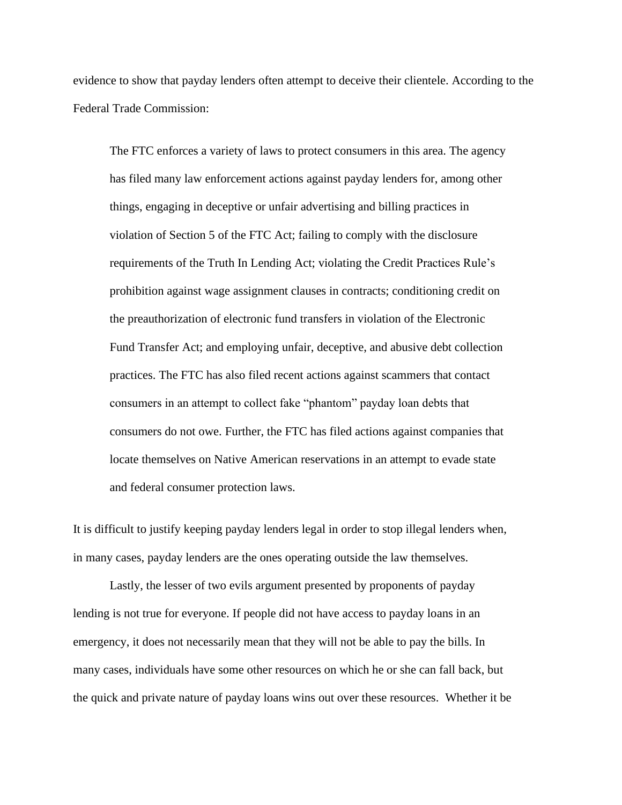evidence to show that payday lenders often attempt to deceive their clientele. According to the Federal Trade Commission:

The FTC enforces a variety of laws to protect consumers in this area. The agency has filed many law enforcement actions against payday lenders for, among other things, engaging in deceptive or unfair advertising and billing practices in violation of Section 5 of the FTC Act; failing to comply with the disclosure requirements of the Truth In Lending Act; violating the Credit Practices Rule's prohibition against wage assignment clauses in contracts; conditioning credit on the preauthorization of electronic fund transfers in violation of the Electronic Fund Transfer Act; and employing unfair, deceptive, and abusive debt collection practices. The FTC has also filed recent actions against scammers that contact consumers in an attempt to collect fake "phantom" payday loan debts that consumers do not owe. Further, the FTC has filed actions against companies that locate themselves on Native American reservations in an attempt to evade state and federal consumer protection laws.

It is difficult to justify keeping payday lenders legal in order to stop illegal lenders when, in many cases, payday lenders are the ones operating outside the law themselves.

Lastly, the lesser of two evils argument presented by proponents of payday lending is not true for everyone. If people did not have access to payday loans in an emergency, it does not necessarily mean that they will not be able to pay the bills. In many cases, individuals have some other resources on which he or she can fall back, but the quick and private nature of payday loans wins out over these resources. Whether it be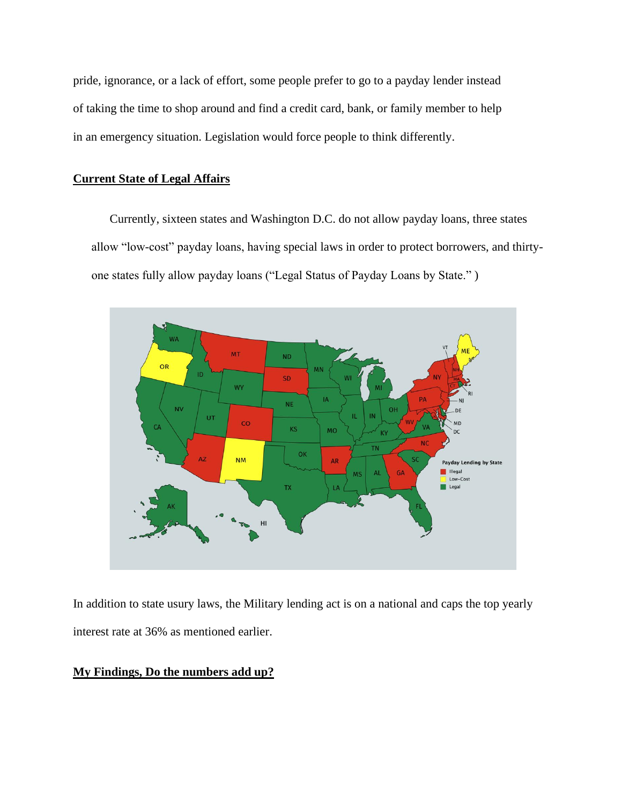pride, ignorance, or a lack of effort, some people prefer to go to a payday lender instead of taking the time to shop around and find a credit card, bank, or family member to help in an emergency situation. Legislation would force people to think differently.

## **Current State of Legal Affairs**

Currently, sixteen states and Washington D.C. do not allow payday loans, three states allow "low-cost" payday loans, having special laws in order to protect borrowers, and thirtyone states fully allow payday loans ("Legal Status of Payday Loans by State." )



In addition to state usury laws, the Military lending act is on a national and caps the top yearly interest rate at 36% as mentioned earlier.

## **My Findings, Do the numbers add up?**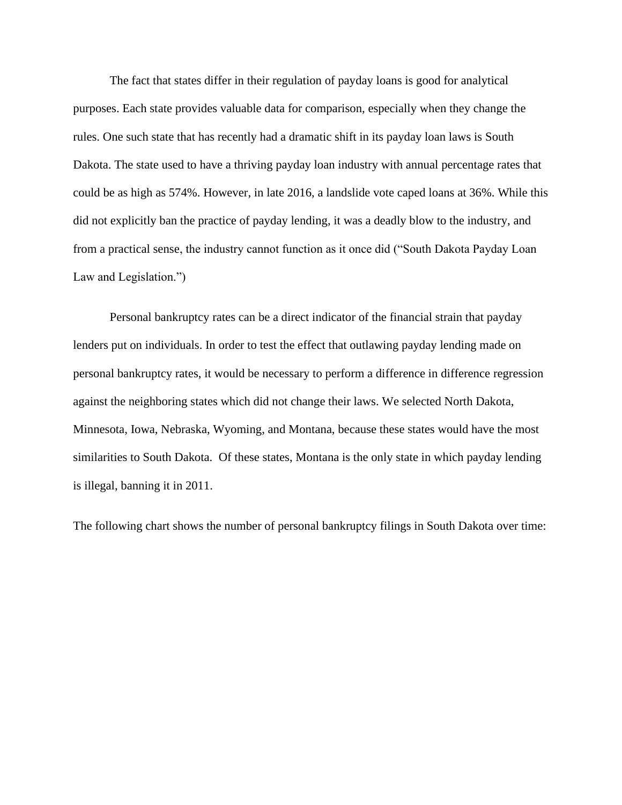The fact that states differ in their regulation of payday loans is good for analytical purposes. Each state provides valuable data for comparison, especially when they change the rules. One such state that has recently had a dramatic shift in its payday loan laws is South Dakota. The state used to have a thriving payday loan industry with annual percentage rates that could be as high as 574%. However, in late 2016, a landslide vote caped loans at 36%. While this did not explicitly ban the practice of payday lending, it was a deadly blow to the industry, and from a practical sense, the industry cannot function as it once did ("South Dakota Payday Loan Law and Legislation.")

Personal bankruptcy rates can be a direct indicator of the financial strain that payday lenders put on individuals. In order to test the effect that outlawing payday lending made on personal bankruptcy rates, it would be necessary to perform a difference in difference regression against the neighboring states which did not change their laws. We selected North Dakota, Minnesota, Iowa, Nebraska, Wyoming, and Montana, because these states would have the most similarities to South Dakota. Of these states, Montana is the only state in which payday lending is illegal, banning it in 2011.

The following chart shows the number of personal bankruptcy filings in South Dakota over time: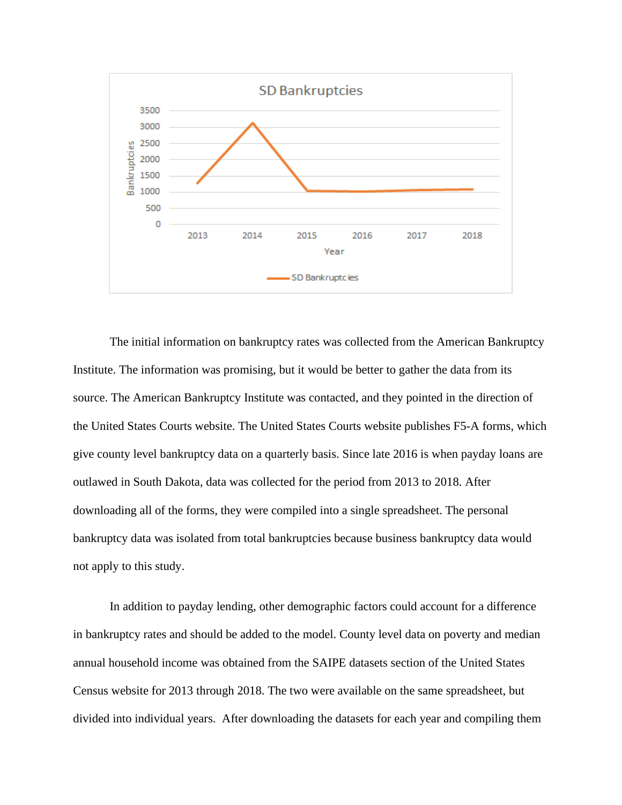

The initial information on bankruptcy rates was collected from the American Bankruptcy Institute. The information was promising, but it would be better to gather the data from its source. The American Bankruptcy Institute was contacted, and they pointed in the direction of the United States Courts website. The United States Courts website publishes F5-A forms, which give county level bankruptcy data on a quarterly basis. Since late 2016 is when payday loans are outlawed in South Dakota, data was collected for the period from 2013 to 2018. After downloading all of the forms, they were compiled into a single spreadsheet. The personal bankruptcy data was isolated from total bankruptcies because business bankruptcy data would not apply to this study.

In addition to payday lending, other demographic factors could account for a difference in bankruptcy rates and should be added to the model. County level data on poverty and median annual household income was obtained from the SAIPE datasets section of the United States Census website for 2013 through 2018. The two were available on the same spreadsheet, but divided into individual years. After downloading the datasets for each year and compiling them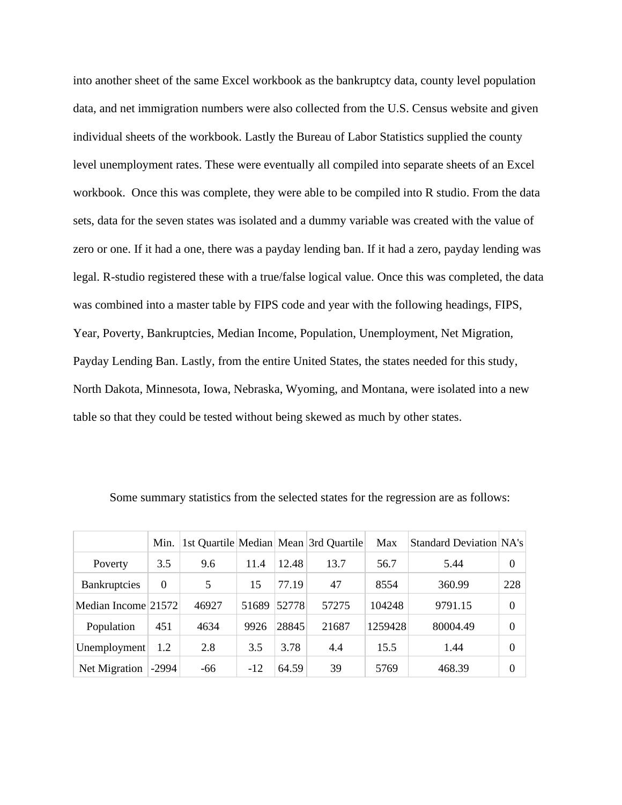into another sheet of the same Excel workbook as the bankruptcy data, county level population data, and net immigration numbers were also collected from the U.S. Census website and given individual sheets of the workbook. Lastly the Bureau of Labor Statistics supplied the county level unemployment rates. These were eventually all compiled into separate sheets of an Excel workbook. Once this was complete, they were able to be compiled into R studio. From the data sets, data for the seven states was isolated and a dummy variable was created with the value of zero or one. If it had a one, there was a payday lending ban. If it had a zero, payday lending was legal. R-studio registered these with a true/false logical value. Once this was completed, the data was combined into a master table by FIPS code and year with the following headings, FIPS, Year, Poverty, Bankruptcies, Median Income, Population, Unemployment, Net Migration, Payday Lending Ban. Lastly, from the entire United States, the states needed for this study, North Dakota, Minnesota, Iowa, Nebraska, Wyoming, and Montana, were isolated into a new table so that they could be tested without being skewed as much by other states.

|                     | Min.     |       |       |       | 1st Quartile Median Mean 3rd Quartile | Max     | Standard Deviation NA's |          |
|---------------------|----------|-------|-------|-------|---------------------------------------|---------|-------------------------|----------|
| Poverty             | 3.5      | 9.6   | 11.4  | 12.48 | 13.7                                  | 56.7    | 5.44                    | $\theta$ |
| <b>Bankruptcies</b> | $\Omega$ | 5     | 15    | 77.19 | 47                                    | 8554    | 360.99                  | 228      |
| Median Income 21572 |          | 46927 | 51689 | 52778 | 57275                                 | 104248  | 9791.15                 | $\theta$ |
| Population          | 451      | 4634  | 9926  | 28845 | 21687                                 | 1259428 | 80004.49                | $\theta$ |
| Unemployment        | 1.2      | 2.8   | 3.5   | 3.78  | 4.4                                   | 15.5    | 1.44                    | $\Omega$ |
| Net Migration       | $-2994$  | -66   | $-12$ | 64.59 | 39                                    | 5769    | 468.39                  | $\theta$ |

Some summary statistics from the selected states for the regression are as follows: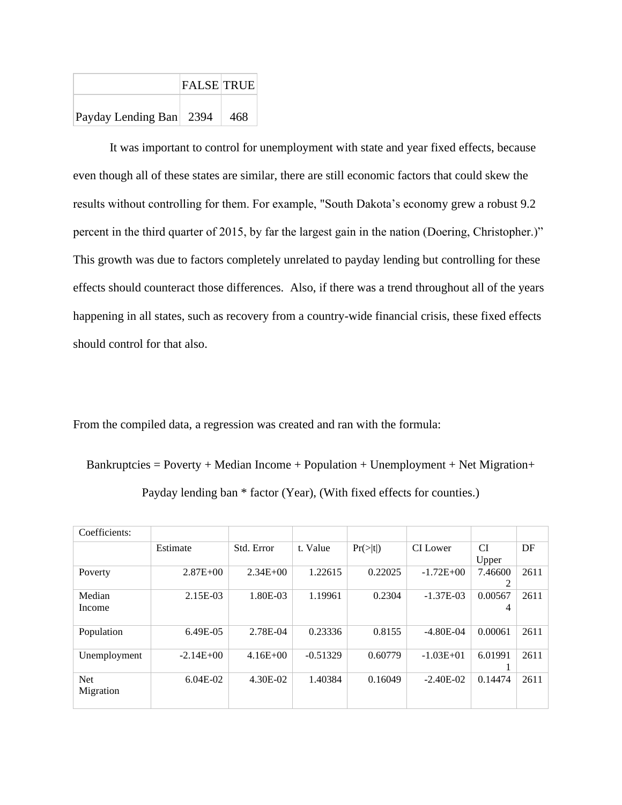|                         | <b>FALSE TRUE</b> |     |
|-------------------------|-------------------|-----|
| Payday Lending Ban 2394 |                   | 468 |

It was important to control for unemployment with state and year fixed effects, because even though all of these states are similar, there are still economic factors that could skew the results without controlling for them. For example, "South Dakota's economy grew a robust 9.2 percent in the third quarter of 2015, by far the largest gain in the nation (Doering, Christopher.)" This growth was due to factors completely unrelated to payday lending but controlling for these effects should counteract those differences. Also, if there was a trend throughout all of the years happening in all states, such as recovery from a country-wide financial crisis, these fixed effects should control for that also.

From the compiled data, a regression was created and ran with the formula:

 $Bankruptcies = Powerty + Median Income + Population + Unemployment + Net Migration +$ 

| Payday lending ban * factor (Year), (With fixed effects for counties.) |  |  |  |  |
|------------------------------------------------------------------------|--|--|--|--|
|------------------------------------------------------------------------|--|--|--|--|

| Coefficients:           |              |              |            |          |               |              |      |
|-------------------------|--------------|--------------|------------|----------|---------------|--------------|------|
|                         | Estimate     | Std. Error   | t. Value   | Pr(> t ) | CI Lower      | CI<br>Upper  | DF   |
| Poverty                 | $2.87E + 00$ | $2.34E + 00$ | 1.22615    | 0.22025  | $-1.72E + 00$ | 7.46600<br>2 | 2611 |
| Median<br>Income        | 2.15E-03     | 1.80E-03     | 1.19961    | 0.2304   | $-1.37E-03$   | 0.00567<br>4 | 2611 |
| Population              | 6.49E-05     | 2.78E-04     | 0.23336    | 0.8155   | $-4.80E-04$   | 0.00061      | 2611 |
| Unemployment            | $-2.14E+00$  | $4.16E + 00$ | $-0.51329$ | 0.60779  | $-1.03E + 01$ | 6.01991      | 2611 |
| <b>Net</b><br>Migration | $6.04E-02$   | 4.30E-02     | 1.40384    | 0.16049  | $-2.40E-02$   | 0.14474      | 2611 |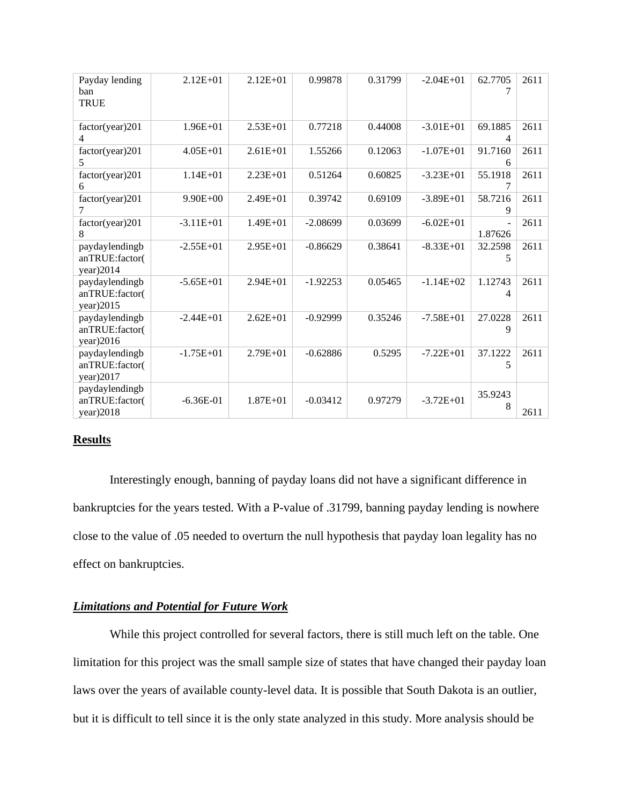| Payday lending<br>ban<br><b>TRUE</b>          | $2.12E + 01$  | $2.12E + 01$ | 0.99878    | 0.31799 | $-2.04E + 01$ | 62.7705<br>7              | 2611 |
|-----------------------------------------------|---------------|--------------|------------|---------|---------------|---------------------------|------|
| factor(year)201<br>4                          | $1.96E + 01$  | $2.53E+01$   | 0.77218    | 0.44008 | $-3.01E+01$   | 69.1885<br>4              | 2611 |
| factor(year)201<br>5                          | $4.05E + 01$  | $2.61E + 01$ | 1.55266    | 0.12063 | $-1.07E + 01$ | 91.7160<br>6              | 2611 |
| factor(year)201<br>6                          | $1.14E + 01$  | $2.23E + 01$ | 0.51264    | 0.60825 | $-3.23E+01$   | 55.1918<br>7              | 2611 |
| factor(year)201<br>7                          | $9.90E + 00$  | $2.49E + 01$ | 0.39742    | 0.69109 | $-3.89E + 01$ | 58.7216<br>9              | 2611 |
| factor(year)201<br>8                          | $-3.11E+01$   | $1.49E + 01$ | $-2.08699$ | 0.03699 | $-6.02E + 01$ | $\blacksquare$<br>1.87626 | 2611 |
| paydaylendingb<br>anTRUE:factor(<br>year)2014 | $-2.55E+01$   | $2.95E+01$   | $-0.86629$ | 0.38641 | $-8.33E+01$   | 32.2598<br>5              | 2611 |
| paydaylendingb<br>anTRUE:factor(<br>year)2015 | $-5.65E + 01$ | $2.94E + 01$ | $-1.92253$ | 0.05465 | $-1.14E+02$   | 1.12743<br>4              | 2611 |
| paydaylendingb<br>anTRUE:factor(<br>year)2016 | $-2.44E+01$   | $2.62E + 01$ | $-0.92999$ | 0.35246 | $-7.58E + 01$ | 27.0228<br>9              | 2611 |
| paydaylendingb<br>anTRUE:factor(<br>year)2017 | $-1.75E+01$   | $2.79E + 01$ | $-0.62886$ | 0.5295  | $-7.22E + 01$ | 37.1222<br>5              | 2611 |
| paydaylendingb<br>anTRUE:factor(<br>year)2018 | $-6.36E-01$   | $1.87E + 01$ | $-0.03412$ | 0.97279 | $-3.72E + 01$ | 35.9243<br>8              | 2611 |

### **Results**

Interestingly enough, banning of payday loans did not have a significant difference in bankruptcies for the years tested. With a P-value of .31799, banning payday lending is nowhere close to the value of .05 needed to overturn the null hypothesis that payday loan legality has no effect on bankruptcies.

## *Limitations and Potential for Future Work*

While this project controlled for several factors, there is still much left on the table. One limitation for this project was the small sample size of states that have changed their payday loan laws over the years of available county-level data. It is possible that South Dakota is an outlier, but it is difficult to tell since it is the only state analyzed in this study. More analysis should be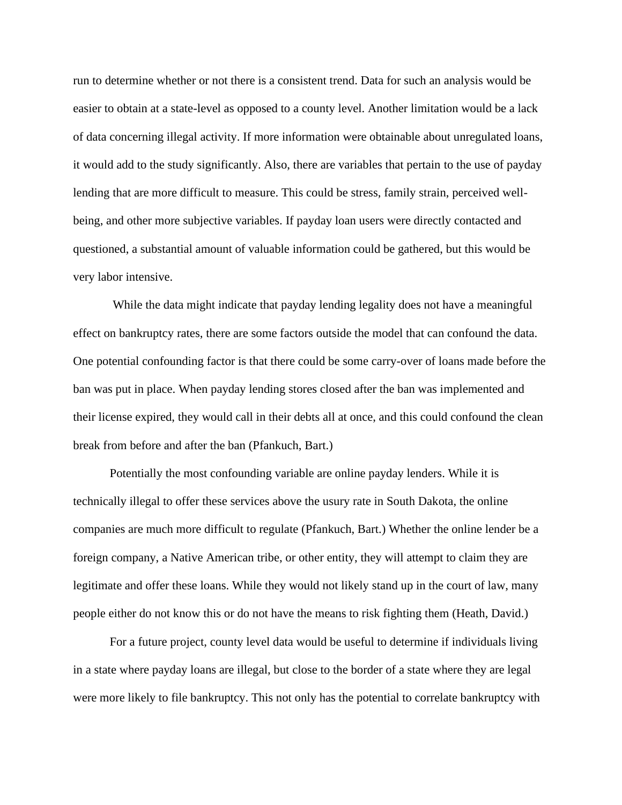run to determine whether or not there is a consistent trend. Data for such an analysis would be easier to obtain at a state-level as opposed to a county level. Another limitation would be a lack of data concerning illegal activity. If more information were obtainable about unregulated loans, it would add to the study significantly. Also, there are variables that pertain to the use of payday lending that are more difficult to measure. This could be stress, family strain, perceived wellbeing, and other more subjective variables. If payday loan users were directly contacted and questioned, a substantial amount of valuable information could be gathered, but this would be very labor intensive.

While the data might indicate that payday lending legality does not have a meaningful effect on bankruptcy rates, there are some factors outside the model that can confound the data. One potential confounding factor is that there could be some carry-over of loans made before the ban was put in place. When payday lending stores closed after the ban was implemented and their license expired, they would call in their debts all at once, and this could confound the clean break from before and after the ban (Pfankuch, Bart.)

Potentially the most confounding variable are online payday lenders. While it is technically illegal to offer these services above the usury rate in South Dakota, the online companies are much more difficult to regulate (Pfankuch, Bart.) Whether the online lender be a foreign company, a Native American tribe, or other entity, they will attempt to claim they are legitimate and offer these loans. While they would not likely stand up in the court of law, many people either do not know this or do not have the means to risk fighting them (Heath, David.)

For a future project, county level data would be useful to determine if individuals living in a state where payday loans are illegal, but close to the border of a state where they are legal were more likely to file bankruptcy. This not only has the potential to correlate bankruptcy with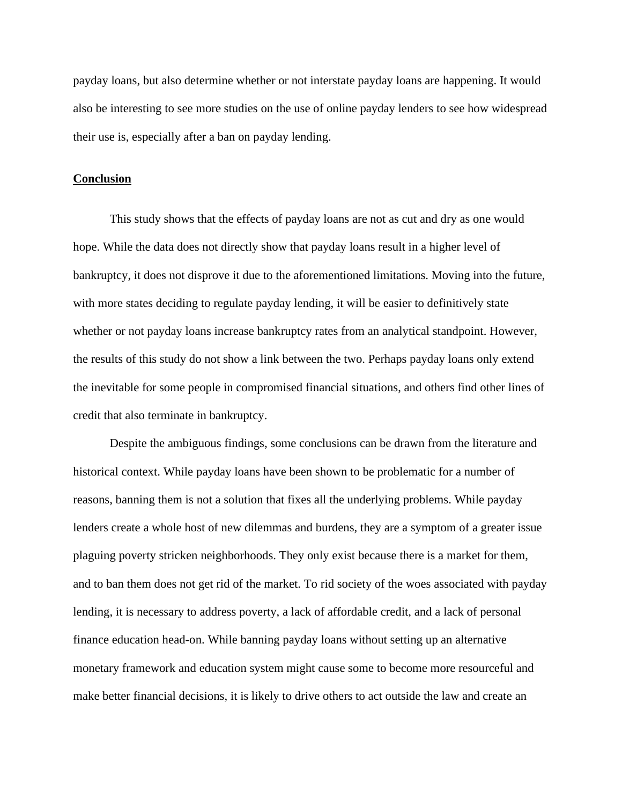payday loans, but also determine whether or not interstate payday loans are happening. It would also be interesting to see more studies on the use of online payday lenders to see how widespread their use is, especially after a ban on payday lending.

#### **Conclusion**

This study shows that the effects of payday loans are not as cut and dry as one would hope. While the data does not directly show that payday loans result in a higher level of bankruptcy, it does not disprove it due to the aforementioned limitations. Moving into the future, with more states deciding to regulate payday lending, it will be easier to definitively state whether or not payday loans increase bankruptcy rates from an analytical standpoint. However, the results of this study do not show a link between the two. Perhaps payday loans only extend the inevitable for some people in compromised financial situations, and others find other lines of credit that also terminate in bankruptcy.

Despite the ambiguous findings, some conclusions can be drawn from the literature and historical context. While payday loans have been shown to be problematic for a number of reasons, banning them is not a solution that fixes all the underlying problems. While payday lenders create a whole host of new dilemmas and burdens, they are a symptom of a greater issue plaguing poverty stricken neighborhoods. They only exist because there is a market for them, and to ban them does not get rid of the market. To rid society of the woes associated with payday lending, it is necessary to address poverty, a lack of affordable credit, and a lack of personal finance education head-on. While banning payday loans without setting up an alternative monetary framework and education system might cause some to become more resourceful and make better financial decisions, it is likely to drive others to act outside the law and create an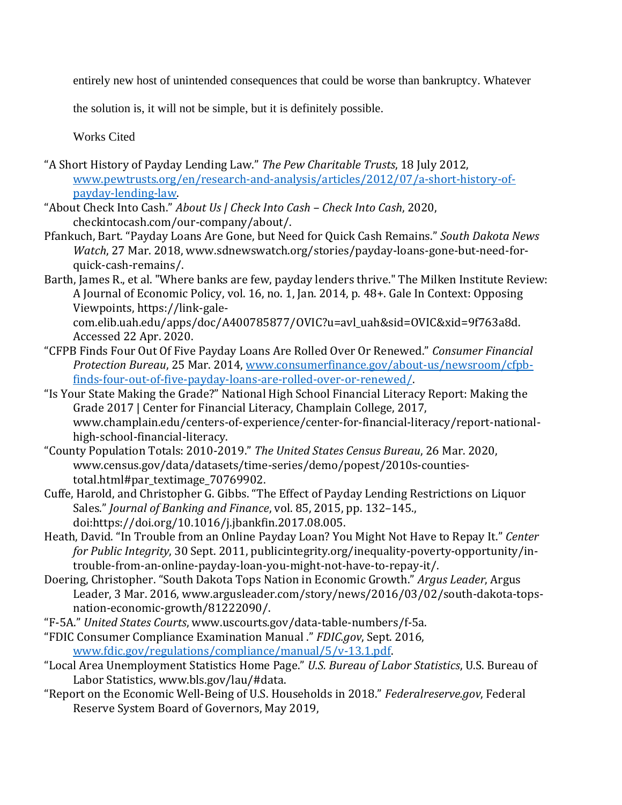entirely new host of unintended consequences that could be worse than bankruptcy. Whatever

the solution is, it will not be simple, but it is definitely possible.

Works Cited

- "A Short History of Payday Lending Law." *The Pew Charitable Trusts*, 18 July 2012, [www.pewtrusts.org/en/research-and-analysis/articles/2012/07/a-short-history-of](http://www.pewtrusts.org/en/research-and-analysis/articles/2012/07/a-short-history-of-payday-lending-law)[payday-lending-law.](http://www.pewtrusts.org/en/research-and-analysis/articles/2012/07/a-short-history-of-payday-lending-law)
- "About Check Into Cash." *About Us | Check Into Cash – Check Into Cash*, 2020, checkintocash.com/our-company/about/.
- Pfankuch, Bart. "Payday Loans Are Gone, but Need for Quick Cash Remains." *South Dakota News Watch*, 27 Mar. 2018, www.sdnewswatch.org/stories/payday-loans-gone-but-need-forquick-cash-remains/.
- Barth, James R., et al. "Where banks are few, payday lenders thrive." The Milken Institute Review: A Journal of Economic Policy, vol. 16, no. 1, Jan. 2014, p. 48+. Gale In Context: Opposing Viewpoints, https://link-gale-

com.elib.uah.edu/apps/doc/A400785877/OVIC?u=avl\_uah&sid=OVIC&xid=9f763a8d. Accessed 22 Apr. 2020.

- "CFPB Finds Four Out Of Five Payday Loans Are Rolled Over Or Renewed." *Consumer Financial Protection Bureau*, 25 Mar. 2014, [www.consumerfinance.gov/about-us/newsroom/cfpb](http://www.consumerfinance.gov/about-us/newsroom/cfpb-finds-four-out-of-five-payday-loans-are-rolled-over-or-renewed/)[finds-four-out-of-five-payday-loans-are-rolled-over-or-renewed/.](http://www.consumerfinance.gov/about-us/newsroom/cfpb-finds-four-out-of-five-payday-loans-are-rolled-over-or-renewed/)
- "Is Your State Making the Grade?" National High School Financial Literacy Report: Making the Grade 2017 | Center for Financial Literacy, Champlain College, 2017, www.champlain.edu/centers-of-experience/center-for-financial-literacy/report-nationalhigh-school-financial-literacy.
- "County Population Totals: 2010-2019." *The United States Census Bureau*, 26 Mar. 2020, www.census.gov/data/datasets/time-series/demo/popest/2010s-countiestotal.html#par\_textimage\_70769902.
- Cuffe, Harold, and Christopher G. Gibbs. "The Effect of Payday Lending Restrictions on Liquor Sales." *Journal of Banking and Finance*, vol. 85, 2015, pp. 132–145., doi:https://doi.org/10.1016/j.jbankfin.2017.08.005.
- Heath, David. "In Trouble from an Online Payday Loan? You Might Not Have to Repay It." *Center for Public Integrity*, 30 Sept. 2011, publicintegrity.org/inequality-poverty-opportunity/introuble-from-an-online-payday-loan-you-might-not-have-to-repay-it/.
- Doering, Christopher. "South Dakota Tops Nation in Economic Growth." *Argus Leader*, Argus Leader, 3 Mar. 2016, www.argusleader.com/story/news/2016/03/02/south-dakota-topsnation-economic-growth/81222090/.
- "F-5A." *United States Courts*, www.uscourts.gov/data-table-numbers/f-5a.
- "FDIC Consumer Compliance Examination Manual ." *FDIC.gov*, Sept. 2016, [www.fdic.gov/regulations/compliance/manual/5/v-13.1.pdf.](http://www.fdic.gov/regulations/compliance/manual/5/v-13.1.pdf)
- "Local Area Unemployment Statistics Home Page." *U.S. Bureau of Labor Statistics*, U.S. Bureau of Labor Statistics, www.bls.gov/lau/#data.
- "Report on the Economic Well-Being of U.S. Households in 2018." *Federalreserve.gov*, Federal Reserve System Board of Governors, May 2019,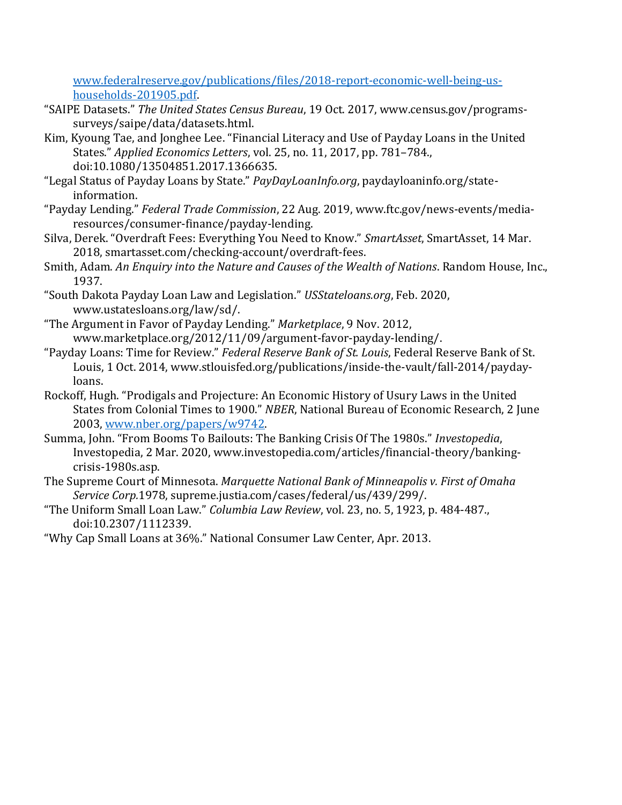[www.federalreserve.gov/publications/files/2018-report-economic-well-being-us](http://www.federalreserve.gov/publications/files/2018-report-economic-well-being-us-households-201905.pdf)[households-201905.pdf.](http://www.federalreserve.gov/publications/files/2018-report-economic-well-being-us-households-201905.pdf)

- "SAIPE Datasets." *The United States Census Bureau*, 19 Oct. 2017, www.census.gov/programssurveys/saipe/data/datasets.html.
- Kim, Kyoung Tae, and Jonghee Lee. "Financial Literacy and Use of Payday Loans in the United States." *Applied Economics Letters*, vol. 25, no. 11, 2017, pp. 781–784., doi:10.1080/13504851.2017.1366635.
- "Legal Status of Payday Loans by State." *PayDayLoanInfo.org*, paydayloaninfo.org/stateinformation.
- "Payday Lending." *Federal Trade Commission*, 22 Aug. 2019, www.ftc.gov/news-events/mediaresources/consumer-finance/payday-lending.
- Silva, Derek. "Overdraft Fees: Everything You Need to Know." *SmartAsset*, SmartAsset, 14 Mar. 2018, smartasset.com/checking-account/overdraft-fees.
- Smith, Adam. *An Enquiry into the Nature and Causes of the Wealth of Nations*. Random House, Inc., 1937.
- "South Dakota Payday Loan Law and Legislation." *USStateloans.org*, Feb. 2020, www.ustatesloans.org/law/sd/.
- "The Argument in Favor of Payday Lending." *Marketplace*, 9 Nov. 2012, www.marketplace.org/2012/11/09/argument-favor-payday-lending/.
- "Payday Loans: Time for Review." *Federal Reserve Bank of St. Louis*, Federal Reserve Bank of St. Louis, 1 Oct. 2014, www.stlouisfed.org/publications/inside-the-vault/fall-2014/paydayloans.
- Rockoff, Hugh. "Prodigals and Projecture: An Economic History of Usury Laws in the United States from Colonial Times to 1900." *NBER*, National Bureau of Economic Research, 2 June 2003, [www.nber.org/papers/w9742.](http://www.nber.org/papers/w9742)
- Summa, John. "From Booms To Bailouts: The Banking Crisis Of The 1980s." *Investopedia*, Investopedia, 2 Mar. 2020, www.investopedia.com/articles/financial-theory/bankingcrisis-1980s.asp.
- The Supreme Court of Minnesota. *Marquette National Bank of Minneapolis v. First of Omaha Service Corp.*1978, supreme.justia.com/cases/federal/us/439/299/.
- "The Uniform Small Loan Law." *Columbia Law Review*, vol. 23, no. 5, 1923, p. 484-487., doi:10.2307/1112339.
- "Why Cap Small Loans at 36%." National Consumer Law Center, Apr. 2013.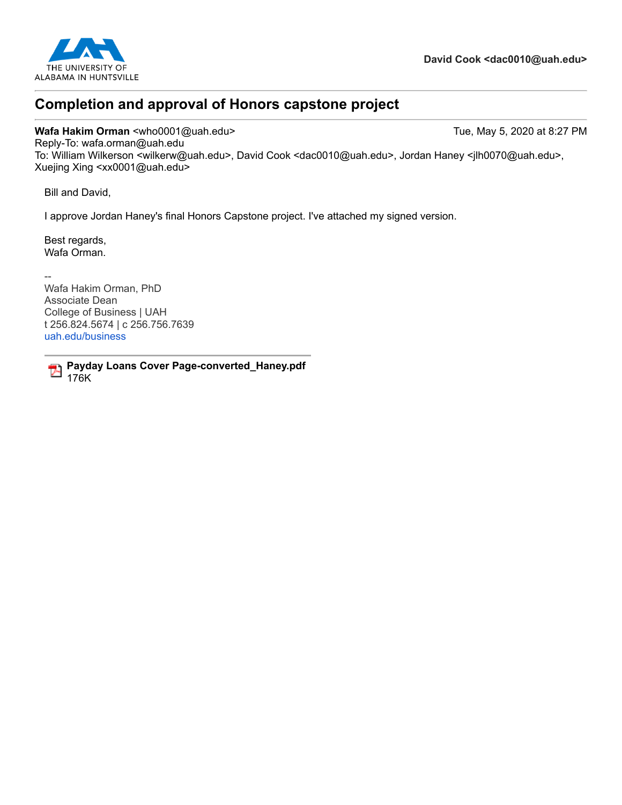

# **Completion and approval of Honors capstone project**

Wafa Hakim Orman <who0001@uah.edu> Tue, May 5, 2020 at 8:27 PM Reply-To: wafa.orman@uah.edu To: William Wilkerson <wilkerw@uah.edu>, David Cook <dac0010@uah.edu>, Jordan Haney <jlh0070@uah.edu>, Xuejing Xing <xx0001@uah.edu>

Bill and David,

I approve Jordan Haney's final Honors Capstone project. I've attached my signed version.

Best regards, Wafa Orman.

-- Wafa Hakim Orman, PhD Associate Dean College of Business | UAH t 256.824.5674 | c 256.756.7639 [uah.edu/business](http://www.uah.edu/business)

**Payday Loans Cover Page-converted\_Haney.pdf** 176K